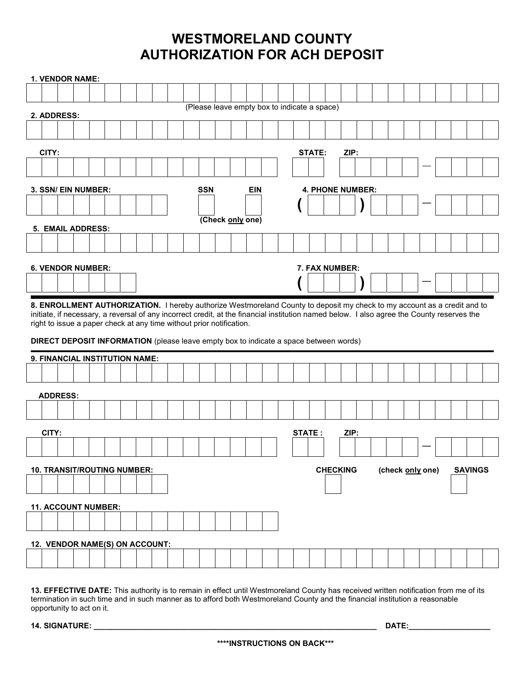## WESTMORELAND COUNTY AUTHORIZATION FOR ACH DEPOSIT

|                          |       | 1. VENDOR NAME: |                                                                                                                                                                                                                                                                                                                                                                                                                                                |  |  |  |  |                          |  |                  |  |  |  |                                              |                         |        |                |  |                 |  |  |  |                  |  |                |  |
|--------------------------|-------|-----------------|------------------------------------------------------------------------------------------------------------------------------------------------------------------------------------------------------------------------------------------------------------------------------------------------------------------------------------------------------------------------------------------------------------------------------------------------|--|--|--|--|--------------------------|--|------------------|--|--|--|----------------------------------------------|-------------------------|--------|----------------|--|-----------------|--|--|--|------------------|--|----------------|--|
|                          |       |                 |                                                                                                                                                                                                                                                                                                                                                                                                                                                |  |  |  |  |                          |  |                  |  |  |  |                                              |                         |        |                |  |                 |  |  |  |                  |  |                |  |
|                          |       | 2. ADDRESS:     |                                                                                                                                                                                                                                                                                                                                                                                                                                                |  |  |  |  |                          |  |                  |  |  |  | (Please leave empty box to indicate a space) |                         |        |                |  |                 |  |  |  |                  |  |                |  |
|                          |       |                 |                                                                                                                                                                                                                                                                                                                                                                                                                                                |  |  |  |  |                          |  |                  |  |  |  |                                              |                         |        |                |  |                 |  |  |  |                  |  |                |  |
|                          | CITY: |                 |                                                                                                                                                                                                                                                                                                                                                                                                                                                |  |  |  |  |                          |  |                  |  |  |  |                                              |                         |        | <b>STATE:</b>  |  | ZIP:            |  |  |  |                  |  |                |  |
|                          |       |                 |                                                                                                                                                                                                                                                                                                                                                                                                                                                |  |  |  |  |                          |  |                  |  |  |  |                                              |                         |        |                |  |                 |  |  |  |                  |  |                |  |
| 3. SSN/ EIN NUMBER:      |       |                 |                                                                                                                                                                                                                                                                                                                                                                                                                                                |  |  |  |  | <b>SSN</b><br><b>EIN</b> |  |                  |  |  |  |                                              | <b>4. PHONE NUMBER:</b> |        |                |  |                 |  |  |  |                  |  |                |  |
|                          |       |                 |                                                                                                                                                                                                                                                                                                                                                                                                                                                |  |  |  |  |                          |  |                  |  |  |  |                                              |                         |        |                |  |                 |  |  |  |                  |  |                |  |
| <b>5. EMAIL ADDRESS:</b> |       |                 |                                                                                                                                                                                                                                                                                                                                                                                                                                                |  |  |  |  |                          |  | (Check only one) |  |  |  |                                              |                         |        |                |  |                 |  |  |  |                  |  |                |  |
|                          |       |                 |                                                                                                                                                                                                                                                                                                                                                                                                                                                |  |  |  |  |                          |  |                  |  |  |  |                                              |                         |        |                |  |                 |  |  |  |                  |  |                |  |
|                          |       |                 |                                                                                                                                                                                                                                                                                                                                                                                                                                                |  |  |  |  |                          |  |                  |  |  |  |                                              |                         |        |                |  |                 |  |  |  |                  |  |                |  |
|                          |       |                 | <b>6. VENDOR NUMBER:</b>                                                                                                                                                                                                                                                                                                                                                                                                                       |  |  |  |  |                          |  |                  |  |  |  |                                              |                         |        | 7. FAX NUMBER: |  |                 |  |  |  |                  |  |                |  |
|                          |       |                 |                                                                                                                                                                                                                                                                                                                                                                                                                                                |  |  |  |  |                          |  |                  |  |  |  |                                              |                         |        |                |  |                 |  |  |  |                  |  |                |  |
|                          |       |                 |                                                                                                                                                                                                                                                                                                                                                                                                                                                |  |  |  |  |                          |  |                  |  |  |  |                                              |                         |        |                |  |                 |  |  |  |                  |  |                |  |
|                          |       |                 | 8. ENROLLMENT AUTHORIZATION. I hereby authorize Westmoreland County to deposit my check to my account as a credit and to<br>initiate, if necessary, a reversal of any incorrect credit, at the financial institution named below. I also agree the County reserves the<br>right to issue a paper check at any time without prior notification.<br><b>DIRECT DEPOSIT INFORMATION</b> (please leave empty box to indicate a space between words) |  |  |  |  |                          |  |                  |  |  |  |                                              |                         |        |                |  |                 |  |  |  |                  |  |                |  |
|                          |       |                 | 9. FINANCIAL INSTITUTION NAME:                                                                                                                                                                                                                                                                                                                                                                                                                 |  |  |  |  |                          |  |                  |  |  |  |                                              |                         |        |                |  |                 |  |  |  |                  |  |                |  |
|                          |       |                 |                                                                                                                                                                                                                                                                                                                                                                                                                                                |  |  |  |  |                          |  |                  |  |  |  |                                              |                         |        |                |  |                 |  |  |  |                  |  |                |  |
|                          |       | <b>ADDRESS:</b> |                                                                                                                                                                                                                                                                                                                                                                                                                                                |  |  |  |  |                          |  |                  |  |  |  |                                              |                         |        |                |  |                 |  |  |  |                  |  |                |  |
|                          |       |                 |                                                                                                                                                                                                                                                                                                                                                                                                                                                |  |  |  |  |                          |  |                  |  |  |  |                                              |                         |        |                |  |                 |  |  |  |                  |  |                |  |
|                          | CITY: |                 |                                                                                                                                                                                                                                                                                                                                                                                                                                                |  |  |  |  |                          |  |                  |  |  |  |                                              |                         | STATE: |                |  | ZIP:            |  |  |  |                  |  |                |  |
|                          |       |                 |                                                                                                                                                                                                                                                                                                                                                                                                                                                |  |  |  |  |                          |  |                  |  |  |  |                                              |                         |        |                |  |                 |  |  |  |                  |  |                |  |
|                          |       |                 | <b>10. TRANSIT/ROUTING NUMBER:</b>                                                                                                                                                                                                                                                                                                                                                                                                             |  |  |  |  |                          |  |                  |  |  |  |                                              |                         |        |                |  | <b>CHECKING</b> |  |  |  | (check only one) |  | <b>SAVINGS</b> |  |
|                          |       |                 |                                                                                                                                                                                                                                                                                                                                                                                                                                                |  |  |  |  |                          |  |                  |  |  |  |                                              |                         |        |                |  |                 |  |  |  |                  |  |                |  |
|                          |       |                 | <b>11. ACCOUNT NUMBER:</b>                                                                                                                                                                                                                                                                                                                                                                                                                     |  |  |  |  |                          |  |                  |  |  |  |                                              |                         |        |                |  |                 |  |  |  |                  |  |                |  |
|                          |       |                 |                                                                                                                                                                                                                                                                                                                                                                                                                                                |  |  |  |  |                          |  |                  |  |  |  |                                              |                         |        |                |  |                 |  |  |  |                  |  |                |  |
|                          |       |                 |                                                                                                                                                                                                                                                                                                                                                                                                                                                |  |  |  |  |                          |  |                  |  |  |  |                                              |                         |        |                |  |                 |  |  |  |                  |  |                |  |
|                          |       |                 | 12. VENDOR NAME(S) ON ACCOUNT:                                                                                                                                                                                                                                                                                                                                                                                                                 |  |  |  |  |                          |  |                  |  |  |  |                                              |                         |        |                |  |                 |  |  |  |                  |  |                |  |

13. EFFECTIVE DATE: This authority is to remain in effect until Westmoreland County has received written notification from me of its termination in such time and in such manner as to afford both Westmoreland County and the financial institution a reasonable opportunity to act on it.

14. SIGNATURE: \_\_\_\_\_\_\_\_\_\_\_\_\_\_\_\_\_\_\_\_\_\_\_\_\_\_\_\_\_\_\_\_\_\_\_\_\_\_\_\_\_\_\_\_\_\_\_\_\_\_\_\_\_\_\_\_\_\_\_\_\_\_\_\_\_\_ DATE:\_\_\_\_\_\_\_\_\_\_\_\_\_\_\_\_\_\_\_